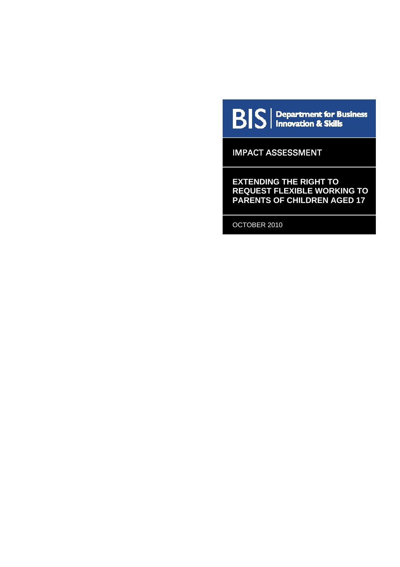

 $\mathbf{B}|\mathbf{S}|$  Department for Business

IMPACT ASSESSMENT

**EXTENDING THE RIGHT TO REQUEST FLEXIBLE WORKING TO PARENTS OF CHILDREN AGED 17** 

OCTOBER 2010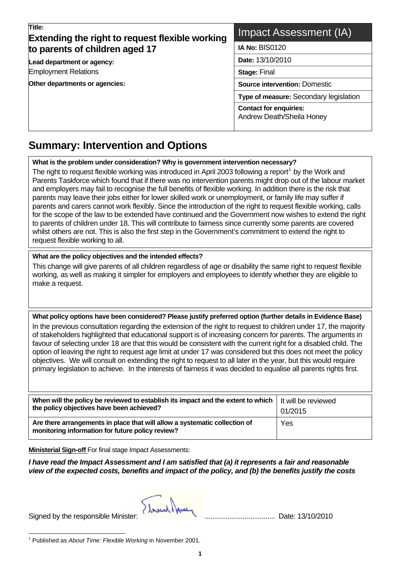| Title:<br><b>Extending the right to request flexible working</b> | Impact Assessment (IA)                                     |  |  |  |
|------------------------------------------------------------------|------------------------------------------------------------|--|--|--|
| to parents of children aged 17                                   | <b>IA No: BIS0120</b>                                      |  |  |  |
| Lead department or agency:                                       | Date: 13/10/2010                                           |  |  |  |
| <b>Employment Relations</b>                                      | <b>Stage: Final</b>                                        |  |  |  |
| Other departments or agencies:                                   | <b>Source intervention: Domestic</b>                       |  |  |  |
|                                                                  | Type of measure: Secondary legislation                     |  |  |  |
|                                                                  | <b>Contact for enquiries:</b><br>Andrew Death/Sheila Honey |  |  |  |

### **Summary: Intervention and Options**   $\overline{a}$

**What is the problem under consideration? Why is government intervention necessary?** 

The right to request flexible working was introduced in April 2003 following a report<sup>[1](#page-1-0)</sup> by the Work and Parents Taskforce which found that if there was no intervention parents might drop out of the labour market and employers may fail to recognise the full benefits of flexible working. In addition there is the risk that parents may leave their jobs either for lower skilled work or unemployment, or family life may suffer if parents and carers cannot work flexibly. Since the introduction of the right to request flexible working, calls for the scope of the law to be extended have continued and the Government now wishes to extend the right to parents of children under 18. This will contribute to fairness since currently some parents are covered whilst others are not. This is also the first step in the Government's commitment to extend the right to request flexible working to all.

#### **What are the policy objectives and the intended effects?**

This change will give parents of all children regardless of age or disability the same right to request flexible working, as well as making it simpler for employers and employees to identify whether they are eligible to make a request.

**What policy options have been considered? Please justify preferred option (further details in Evidence Base)**  In the previous consultation regarding the extension of the right to request to children under 17, the majority of stakeholders highlighted that educational support is of increasing concern for parents. The arguments in favour of selecting under 18 are that this would be consistent with the current right for a disabled child. The option of leaving the right to request age limit at under 17 was considered but this does not meet the policy objectives. We will consult on extending the right to request to all later in the year, but this would require primary legislation to achieve. In the interests of fairness it was decided to equalise all parents rights first.

| When will the policy be reviewed to establish its impact and the extent to which                                               | I It will be reviewed |
|--------------------------------------------------------------------------------------------------------------------------------|-----------------------|
| the policy objectives have been achieved?                                                                                      | 01/2015               |
| Are there arrangements in place that will allow a systematic collection of<br>monitoring information for future policy review? | Yes                   |

**Ministerial Sign-off** For final stage Impact Assessments:

*I have read the Impact Assessment and I am satisfied that (a) it represents a fair and reasonable view of the expected costs, benefits and impact of the policy, and (b) the benefits justify the costs* 

lavant laure Signed by the responsible Minister: ..................................... Date: 13/10/2010

<span id="page-1-0"></span>l <sup>1</sup> Published as *About Time: Flexible Working* in November 2001.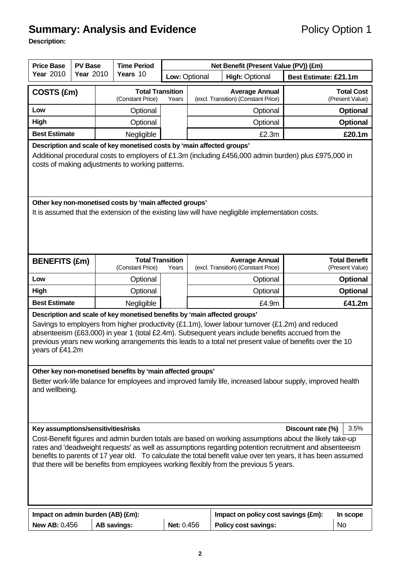# **Summary: Analysis and Evidence Policy Option 1**

**Description:** 

| <b>Price Base</b>                                                                                                                                                                                                                                                                                                                                                                                                                                                                              | <b>PV Base</b>   | <b>Time Period</b>                          | Net Benefit (Present Value (PV)) (£m) |               |                                                              |                       |                                         |
|------------------------------------------------------------------------------------------------------------------------------------------------------------------------------------------------------------------------------------------------------------------------------------------------------------------------------------------------------------------------------------------------------------------------------------------------------------------------------------------------|------------------|---------------------------------------------|---------------------------------------|---------------|--------------------------------------------------------------|-----------------------|-----------------------------------------|
| <b>Year 2010</b>                                                                                                                                                                                                                                                                                                                                                                                                                                                                               | <b>Year 2010</b> | Years 10                                    |                                       | Low: Optional | <b>High: Optional</b>                                        | Best Estimate: £21.1m |                                         |
| COSTS (£m)                                                                                                                                                                                                                                                                                                                                                                                                                                                                                     |                  | <b>Total Transition</b><br>(Constant Price) | Years                                 |               | <b>Average Annual</b><br>(excl. Transition) (Constant Price) |                       | <b>Total Cost</b><br>(Present Value)    |
| Low                                                                                                                                                                                                                                                                                                                                                                                                                                                                                            |                  | Optional                                    |                                       | Optional      |                                                              |                       | <b>Optional</b>                         |
| High                                                                                                                                                                                                                                                                                                                                                                                                                                                                                           |                  | Optional                                    |                                       |               | Optional                                                     |                       | <b>Optional</b>                         |
| <b>Best Estimate</b>                                                                                                                                                                                                                                                                                                                                                                                                                                                                           |                  | Negligible                                  |                                       |               | £2.3m                                                        |                       | £20.1m                                  |
| Description and scale of key monetised costs by 'main affected groups'<br>Additional procedural costs to employers of £1.3m (including £456,000 admin burden) plus £975,000 in<br>costs of making adjustments to working patterns.                                                                                                                                                                                                                                                             |                  |                                             |                                       |               |                                                              |                       |                                         |
| Other key non-monetised costs by 'main affected groups'<br>It is assumed that the extension of the existing law will have negligible implementation costs.                                                                                                                                                                                                                                                                                                                                     |                  |                                             |                                       |               |                                                              |                       |                                         |
| <b>BENEFITS (£m)</b>                                                                                                                                                                                                                                                                                                                                                                                                                                                                           |                  | <b>Total Transition</b><br>(Constant Price) | Years                                 |               | <b>Average Annual</b><br>(excl. Transition) (Constant Price) |                       | <b>Total Benefit</b><br>(Present Value) |
| Low                                                                                                                                                                                                                                                                                                                                                                                                                                                                                            |                  | Optional                                    |                                       |               | Optional                                                     |                       | <b>Optional</b>                         |
| High                                                                                                                                                                                                                                                                                                                                                                                                                                                                                           |                  | Optional                                    |                                       |               | Optional                                                     |                       | <b>Optional</b>                         |
| <b>Best Estimate</b>                                                                                                                                                                                                                                                                                                                                                                                                                                                                           |                  | Negligible                                  |                                       |               | £4.9m                                                        |                       | £41.2m                                  |
| Description and scale of key monetised benefits by 'main affected groups'<br>Savings to employers from higher productivity $(E1.1m)$ , lower labour turnover $(E1.2m)$ and reduced<br>absenteeism (£63,000) in year 1 (total £2.4m). Subsequent years include benefits accrued from the<br>previous years new working arrangements this leads to a total net present value of benefits over the 10<br>years of £41.2m                                                                          |                  |                                             |                                       |               |                                                              |                       |                                         |
| Other key non-monetised benefits by 'main affected groups'<br>Better work-life balance for employees and improved family life, increased labour supply, improved health<br>and wellbeing.                                                                                                                                                                                                                                                                                                      |                  |                                             |                                       |               |                                                              |                       |                                         |
| Key assumptions/sensitivities/risks<br>3.5%<br>Discount rate (%)<br>Cost-Benefit figures and admin burden totals are based on working assumptions about the likely take-up<br>rates and 'deadweight requests' as well as assumptions regarding potention recruitment and absenteeism<br>benefits to parents of 17 year old. To calculate the total benefit value over ten years, it has been assumed<br>that there will be benefits from employees working flexibly from the previous 5 years. |                  |                                             |                                       |               |                                                              |                       |                                         |
| Impact on admin burden (AB) (£m):                                                                                                                                                                                                                                                                                                                                                                                                                                                              |                  |                                             |                                       |               | Impact on policy cost savings (£m):                          |                       | In scope                                |
| <b>New AB: 0.456</b>                                                                                                                                                                                                                                                                                                                                                                                                                                                                           |                  | <b>AB savings:</b>                          | Net: 0.456                            |               | <b>Policy cost savings:</b>                                  |                       | <b>No</b>                               |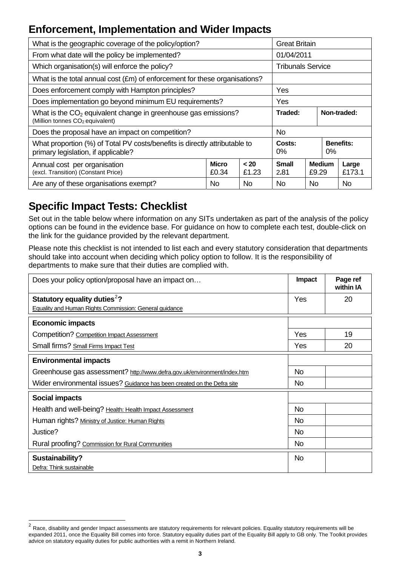## **Enforcement, Implementation and Wider Impacts**

| What is the geographic coverage of the policy/option?                                                                     | <b>Great Britain</b> |     |                          |                  |               |                 |
|---------------------------------------------------------------------------------------------------------------------------|----------------------|-----|--------------------------|------------------|---------------|-----------------|
| From what date will the policy be implemented?                                                                            |                      |     | 01/04/2011               |                  |               |                 |
| Which organisation(s) will enforce the policy?                                                                            |                      |     | <b>Tribunals Service</b> |                  |               |                 |
| What is the total annual cost (£m) of enforcement for these organisations?                                                |                      |     |                          |                  |               |                 |
| Does enforcement comply with Hampton principles?                                                                          |                      |     | Yes                      |                  |               |                 |
| Does implementation go beyond minimum EU requirements?                                                                    |                      |     | Yes                      |                  |               |                 |
| What is the CO <sub>2</sub> equivalent change in greenhouse gas emissions?<br>(Million tonnes CO <sub>2</sub> equivalent) | Traded:              |     |                          | Non-traded:      |               |                 |
| Does the proposal have an impact on competition?                                                                          | No.                  |     |                          |                  |               |                 |
| What proportion (%) of Total PV costs/benefits is directly attributable to<br>primary legislation, if applicable?         | Costs:<br>$0\%$      |     | $0\%$                    | <b>Benefits:</b> |               |                 |
| <b>Micro</b><br>< 20<br>Annual cost per organisation<br>(excl. Transition) (Constant Price)<br>£0.34<br>£1.23             |                      |     |                          | £9.29            | <b>Medium</b> | Large<br>£173.1 |
| Are any of these organisations exempt?                                                                                    | N <sub>o</sub>       | No. |                          | No.              |               |                 |

## **Specific Impact Tests: Checklist**

Set out in the table below where information on any SITs undertaken as part of the analysis of the policy options can be found in the evidence base. For guidance on how to complete each test, double-click on the link for the guidance provided by the relevant department.

Please note this checklist is not intended to list each and every statutory consideration that departments should take into account when deciding which policy option to follow. It is the responsibility of departments to make sure that their duties are complied with.

| Does your policy option/proposal have an impact on                       | Impact    | Page ref<br>within IA |
|--------------------------------------------------------------------------|-----------|-----------------------|
| Statutory equality duties <sup>2</sup> ?                                 | Yes       | 20                    |
| Equality and Human Rights Commission: General guidance                   |           |                       |
| <b>Economic impacts</b>                                                  |           |                       |
| Competition? Competition Impact Assessment                               | Yes       | 19                    |
| Small firms? Small Firms Impact Test                                     | Yes       | 20                    |
| <b>Environmental impacts</b>                                             |           |                       |
| Greenhouse gas assessment? http://www.defra.gov.uk/environment/index.htm | <b>No</b> |                       |
| Wider environmental issues? Guidance has been created on the Defra site  | <b>No</b> |                       |
| <b>Social impacts</b>                                                    |           |                       |
| Health and well-being? Health: Health Impact Assessment                  | <b>No</b> |                       |
| Human rights? Ministry of Justice: Human Rights                          | <b>No</b> |                       |
| Justice?                                                                 | No.       |                       |
| Rural proofing? Commission for Rural Communities                         | No.       |                       |
| Sustainability?                                                          | No        |                       |
| Defra: Think sustainable                                                 |           |                       |

<span id="page-3-0"></span> $\overline{\mathbf{c}}$ Race, disability and gender Impact assessments are statutory requirements for relevant policies. Equality statutory requirements will be expanded 2011, once the Equality Bill comes into force. Statutory equality duties part of the Equality Bill apply to GB only. The Toolkit provides advice on statutory equality duties for public authorities with a remit in Northern Ireland.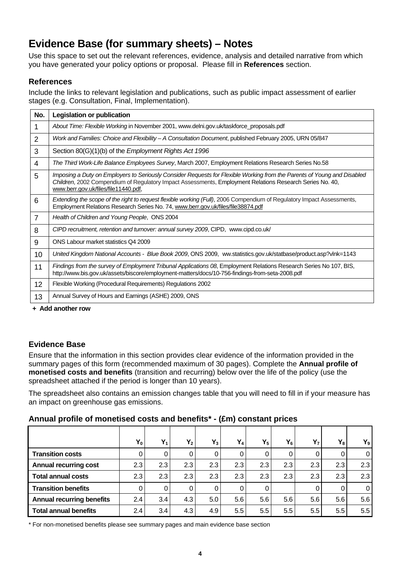## **Evidence Base (for summary sheets) – Notes**

Use this space to set out the relevant references, evidence, analysis and detailed narrative from which you have generated your policy options or proposal. Please fill in **References** section.

## **References**

Include the links to relevant legislation and publications, such as public impact assessment of earlier stages (e.g. Consultation, Final, Implementation).

| No.            | <b>Legislation or publication</b>                                                                                                                                                                                                                                           |
|----------------|-----------------------------------------------------------------------------------------------------------------------------------------------------------------------------------------------------------------------------------------------------------------------------|
| 1              | About Time: Flexible Working in November 2001, www.delni.gov.uk/taskforce_proposals.pdf                                                                                                                                                                                     |
| $\overline{2}$ | Work and Families: Choice and Flexibility - A Consultation Document, published February 2005, URN 05/847                                                                                                                                                                    |
| 3              | Section 80(G)(1)(b) of the <i>Employment Rights Act 1996</i>                                                                                                                                                                                                                |
| 4              | The Third Work-Life Balance Employees Survey, March 2007, Employment Relations Research Series No.58                                                                                                                                                                        |
| 5              | Imposing a Duty on Employers to Seriously Consider Requests for Flexible Working from the Parents of Young and Disabled<br>Children, 2002 Compendium of Regulatory Impact Assessments, Employment Relations Research Series No. 40,<br>www.berr.gov.uk/files/file11440.pdf, |
| 6              | Extending the scope of the right to request flexible working (Full), 2006 Compendium of Regulatory Impact Assessments,<br>Employment Relations Research Series No. 74, www.berr.gov.uk/files/file38874.pdf                                                                  |
| $\overline{7}$ | Health of Children and Young People, ONS 2004                                                                                                                                                                                                                               |
| 8              | CIPD recruitment, retention and turnover: annual survey 2009, CIPD, www.cipd.co.uk/                                                                                                                                                                                         |
| 9              | ONS Labour market statistics Q4 2009                                                                                                                                                                                                                                        |
| 10             | United Kingdom National Accounts - Blue Book 2009, ONS 2009, ww.statistics.gov.uk/statbase/product.asp?vlnk=1143                                                                                                                                                            |
| 11             | Findings from the survey of Employment Tribunal Applications 08, Employment Relations Research Series No 107, BIS,<br>http://www.bis.gov.uk/assets/biscore/employment-matters/docs/10-756-findings-from-seta-2008.pdf                                                       |
| 12             | Flexible Working (Procedural Requirements) Regulations 2002                                                                                                                                                                                                                 |
| 13             | Annual Survey of Hours and Earnings (ASHE) 2009, ONS                                                                                                                                                                                                                        |

**+ Add another row** 

## **Evidence Base**

Ensure that the information in this section provides clear evidence of the information provided in the summary pages of this form (recommended maximum of 30 pages). Complete the **Annual profile of monetised costs and benefits** (transition and recurring) below over the life of the policy (use the spreadsheet attached if the period is longer than 10 years).

The spreadsheet also contains an emission changes table that you will need to fill in if your measure has an impact on greenhouse gas emissions.

## **Annual profile of monetised costs and benefits\* - (£m) constant prices**

|                                  | $Y_0$ | $Y_1$ | $Y_2$ | $Y_3$ | $Y_4$    | $Y_5$            | $Y_6$   | $Y_{7}$ | $Y_8$    | $Y_9$          |
|----------------------------------|-------|-------|-------|-------|----------|------------------|---------|---------|----------|----------------|
| <b>Transition costs</b>          | 0     | O     | 0     |       | $\Omega$ |                  |         |         |          | $\overline{0}$ |
| <b>Annual recurring cost</b>     | 2.3   | 2.3   | 2.3   | 2.3   | 2.3      | 2.3              | 2.3     | 2.3     | 2.3      | 2.3            |
| <b>Total annual costs</b>        | 2.3   | 2.3   | 2.3   | 2.3   | 2.3      | 2.3 <sub>1</sub> | 2.3     | 2.3     | 2.3      | 2.3            |
| <b>Transition benefits</b>       | 0     |       |       |       | 0        |                  |         |         | $\Omega$ | $\overline{0}$ |
| <b>Annual recurring benefits</b> | 2.4   | 3.4   | 4.3   | 5.0   | 5.6      | 5.6              | 5.6     | 5.6     | 5.6      | 5.6            |
| <b>Total annual benefits</b>     | 2.4   | 3.4   | 4.3   | 4.9   | 5.5      | 5.5              | $5.5\,$ | 5.5     | 5.5      | 5.5            |

\* For non-monetised benefits please see summary pages and main evidence base section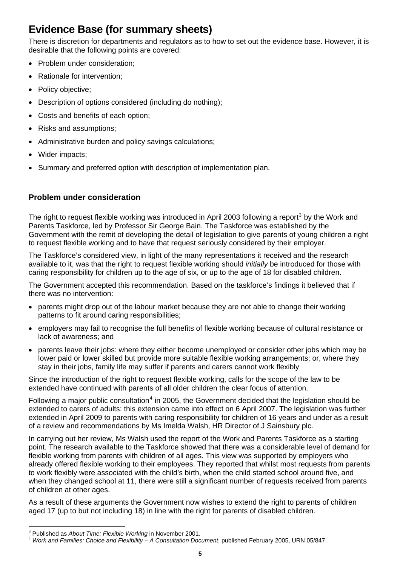## **Evidence Base (for summary sheets)**

There is discretion for departments and regulators as to how to set out the evidence base. However, it is desirable that the following points are covered:

- Problem under consideration;
- Rationale for intervention;
- Policy objective;
- Description of options considered (including do nothing);
- Costs and benefits of each option;
- Risks and assumptions;
- Administrative burden and policy savings calculations;
- Wider impacts;
- Summary and preferred option with description of implementation plan.

## **Problem under consideration**

The right to request flexible working was introduced in April 200[3](#page-5-0) following a report<sup>3</sup> by the Work and Parents Taskforce, led by Professor Sir George Bain. The Taskforce was established by the Government with the remit of developing the detail of legislation to give parents of young children a right to request flexible working and to have that request seriously considered by their employer.

The Taskforce's considered view, in light of the many representations it received and the research available to it, was that the right to request flexible working should *initially* be introduced for those with caring responsibility for children up to the age of six, or up to the age of 18 for disabled children.

The Government accepted this recommendation. Based on the taskforce's findings it believed that if there was no intervention:

- parents might drop out of the labour market because they are not able to change their working patterns to fit around caring responsibilities;
- employers may fail to recognise the full benefits of flexible working because of cultural resistance or lack of awareness; and
- parents leave their jobs: where they either become unemployed or consider other jobs which may be lower paid or lower skilled but provide more suitable flexible working arrangements; or, where they stay in their jobs, family life may suffer if parents and carers cannot work flexibly

Since the introduction of the right to request flexible working, calls for the scope of the law to be extended have continued with parents of all older children the clear focus of attention.

Following a major public consultation<sup>[4](#page-5-1)</sup> in 2005, the Government decided that the legislation should be extended to carers of adults: this extension came into effect on 6 April 2007. The legislation was further extended in April 2009 to parents with caring responsibility for children of 16 years and under as a result of a review and recommendations by Ms Imelda Walsh, HR Director of J Sainsbury plc.

In carrying out her review, Ms Walsh used the report of the Work and Parents Taskforce as a starting point. The research available to the Taskforce showed that there was a considerable level of demand for flexible working from parents with children of all ages. This view was supported by employers who already offered flexible working to their employees. They reported that whilst most requests from parents to work flexibly were associated with the child's birth, when the child started school around five, and when they changed school at 11, there were still a significant number of requests received from parents of children at other ages.

As a result of these arguments the Government now wishes to extend the right to parents of children aged 17 (up to but not including 18) in line with the right for parents of disabled children.

l

<span id="page-5-1"></span><span id="page-5-0"></span><sup>&</sup>lt;sup>3</sup> Published as About Time: Flexible Working in November 2001.

Published as *About Time: Flexible Working* in November 2001. <sup>4</sup> *Work and Families: Choice and Flexibility – A Consultation Document*, published February 2005, URN 05/847.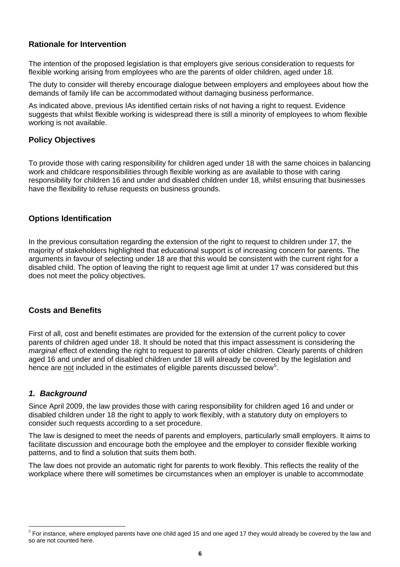## **Rationale for Intervention**

The intention of the proposed legislation is that employers give serious consideration to requests for flexible working arising from employees who are the parents of older children, aged under 18.

The duty to consider will thereby encourage dialogue between employers and employees about how the demands of family life can be accommodated without damaging business performance.

As indicated above, previous IAs identified certain risks of not having a right to request. Evidence suggests that whilst flexible working is widespread there is still a minority of employees to whom flexible working is not available.

## **Policy Objectives**

To provide those with caring responsibility for children aged under 18 with the same choices in balancing work and childcare responsibilities through flexible working as are available to those with caring responsibility for children 16 and under and disabled children under 18, whilst ensuring that businesses have the flexibility to refuse requests on business grounds.

## **Options Identification**

In the previous consultation regarding the extension of the right to request to children under 17, the majority of stakeholders highlighted that educational support is of increasing concern for parents. The arguments in favour of selecting under 18 are that this would be consistent with the current right for a disabled child. The option of leaving the right to request age limit at under 17 was considered but this does not meet the policy objectives.

#### **Costs and Benefits**

First of all, cost and benefit estimates are provided for the extension of the current policy to cover parents of children aged under 18. It should be noted that this impact assessment is considering the *marginal* effect of extending the right to request to parents of older children. Clearly parents of children aged 16 and under and of disabled children under 18 will already be covered by the legislation and hence are not included in the estimates of eligible parents discussed below<sup>[5](#page-6-0)</sup>.

## *1. Background*

l

Since April 2009, the law provides those with caring responsibility for children aged 16 and under or disabled children under 18 the right to apply to work flexibly, with a statutory duty on employers to consider such requests according to a set procedure.

The law is designed to meet the needs of parents and employers, particularly small employers. It aims to facilitate discussion and encourage both the employee and the employer to consider flexible working patterns, and to find a solution that suits them both.

The law does not provide an automatic right for parents to work flexibly. This reflects the reality of the workplace where there will sometimes be circumstances when an employer is unable to accommodate

<span id="page-6-0"></span> $5$  For instance, where employed parents have one child aged 15 and one aged 17 they would already be covered by the law and so are not counted here.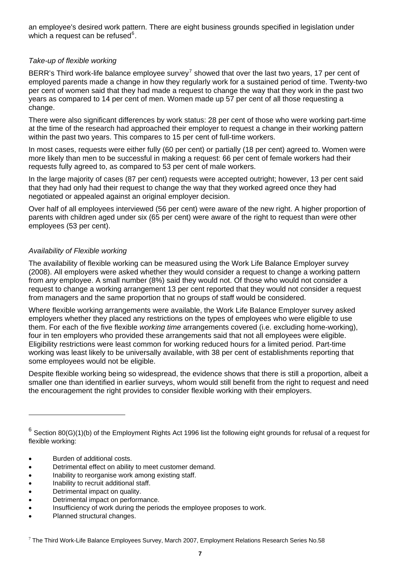an employee's desired work pattern. There are eight business grounds specified in legislation under which a request can be refused $6$ .

## *Take-up of flexible working*

BERR's Third work-life balance employee survey<sup>[7](#page-7-1)</sup> showed that over the last two years, 17 per cent of employed parents made a change in how they regularly work for a sustained period of time. Twenty-two per cent of women said that they had made a request to change the way that they work in the past two years as compared to 14 per cent of men. Women made up 57 per cent of all those requesting a change.

There were also significant differences by work status: 28 per cent of those who were working part-time at the time of the research had approached their employer to request a change in their working pattern within the past two years. This compares to 15 per cent of full-time workers.

In most cases, requests were either fully (60 per cent) or partially (18 per cent) agreed to. Women were more likely than men to be successful in making a request: 66 per cent of female workers had their requests fully agreed to, as compared to 53 per cent of male workers.

In the large majority of cases (87 per cent) requests were accepted outright; however, 13 per cent said that they had only had their request to change the way that they worked agreed once they had negotiated or appealed against an original employer decision.

Over half of all employees interviewed (56 per cent) were aware of the new right. A higher proportion of parents with children aged under six (65 per cent) were aware of the right to request than were other employees (53 per cent).

## *Availability of Flexible working*

The availability of flexible working can be measured using the Work Life Balance Employer survey (2008). All employers were asked whether they would consider a request to change a working pattern from *any* employee. A small number (8%) said they would not. Of those who would not consider a request to change a working arrangement 13 per cent reported that they would not consider a request from managers and the same proportion that no groups of staff would be considered.

Where flexible working arrangements were available, the Work Life Balance Employer survey asked employers whether they placed any restrictions on the types of employees who were eligible to use them. For each of the five flexible *working time* arrangements covered (i.e. excluding home-working), four in ten employers who provided these arrangements said that not all employees were eligible. Eligibility restrictions were least common for working reduced hours for a limited period. Part-time working was least likely to be universally available, with 38 per cent of establishments reporting that some employees would not be eligible.

Despite flexible working being so widespread, the evidence shows that there is still a proportion, albeit a smaller one than identified in earlier surveys, whom would still benefit from the right to request and need the encouragement the right provides to consider flexible working with their employers.

• Burden of additional costs.

l

- Detrimental effect on ability to meet customer demand.
- Inability to reorganise work among existing staff.
- Inability to recruit additional staff.
- Detrimental impact on quality.
- Detrimental impact on performance.
- Insufficiency of work during the periods the employee proposes to work.
- Planned structural changes.

<span id="page-7-0"></span> $6$  Section 80(G)(1)(b) of the Employment Rights Act 1996 list the following eight grounds for refusal of a request for flexible working:

<span id="page-7-1"></span> $7$  The Third Work-Life Balance Employees Survey, March 2007, Employment Relations Research Series No.58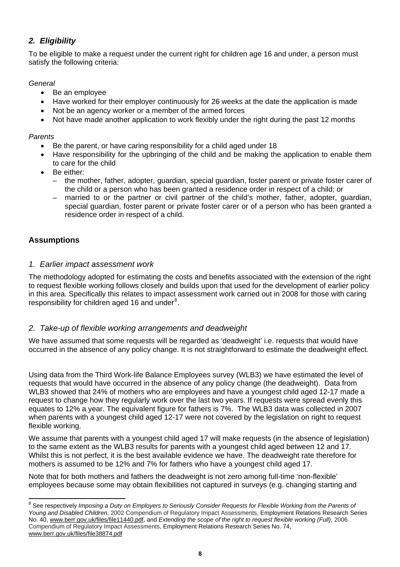## *2. Eligibility*

To be eligible to make a request under the current right for children age 16 and under, a person must satisfy the following criteria:

## *General*

- Be an employee
- Have worked for their employer continuously for 26 weeks at the date the application is made
- Not be an agency worker or a member of the armed forces
- Not have made another application to work flexibly under the right during the past 12 months

## *Parents*

- Be the parent, or have caring responsibility for a child aged under 18
- Have responsibility for the upbringing of the child and be making the application to enable them to care for the child
- Be either:
	- the mother, father, adopter, guardian, special guardian, foster parent or private foster carer of the child or a person who has been granted a residence order in respect of a child; or
	- married to or the partner or civil partner of the child's mother, father, adopter, guardian, special guardian, foster parent or private foster carer or of a person who has been granted a residence order in respect of a child.

## **Assumptions**

## *1. Earlier impact assessment work*

The methodology adopted for estimating the costs and benefits associated with the extension of the right to request flexible working follows closely and builds upon that used for the development of earlier policy in this area. Specifically this relates to impact assessment work carried out in 2008 for those with caring responsibility for children aged 16 and under $8$ .

## *2. Take-up of flexible working arrangements and deadweight*

We have assumed that some requests will be regarded as 'deadweight' i.e. requests that would have occurred in the absence of any policy change. It is not straightforward to estimate the deadweight effect.

Using data from the Third Work-life Balance Employees survey (WLB3) we have estimated the level of requests that would have occurred in the absence of any policy change (the deadweight). Data from WLB3 showed that 24% of mothers who are employees and have a youngest child aged 12-17 made a request to change how they regularly work over the last two years. If requests were spread evenly this equates to 12% a year. The equivalent figure for fathers is 7%. The WLB3 data was collected in 2007 when parents with a youngest child aged 12-17 were not covered by the legislation on right to request flexible working.

We assume that parents with a youngest child aged 17 will make requests (in the absence of legislation) to the same extent as the WLB3 results for parents with a youngest child aged between 12 and 17. Whilst this is not perfect, it is the best available evidence we have. The deadweight rate therefore for mothers is assumed to be 12% and 7% for fathers who have a youngest child aged 17.

Note that for both mothers and fathers the deadweight is not zero among full-time 'non-flexible' employees because some may obtain flexibilities not captured in surveys (e.g. changing starting and

<span id="page-8-0"></span> 8 See respectively *Imposing a Duty on Employers to Seriously Consider Requests for Flexible Working from the Parents of Young and Disabled Children*, 2002 Compendium of Regulatory Impact Assessments, Employment Relations Research Series No. 40, [www.berr.gov.uk/files/file11440.pdf](http://www.berr.gov.uk/files/file11440.pdf), and *Extending the scope of the right to request flexible working (Full)*, 2006 Compendium of Regulatory Impact Assessments, Employment Relations Research Series No. 74, [www.berr.gov.uk/files/file38874.pdf](http://www.berr.gov.uk/files/file38874.pdf)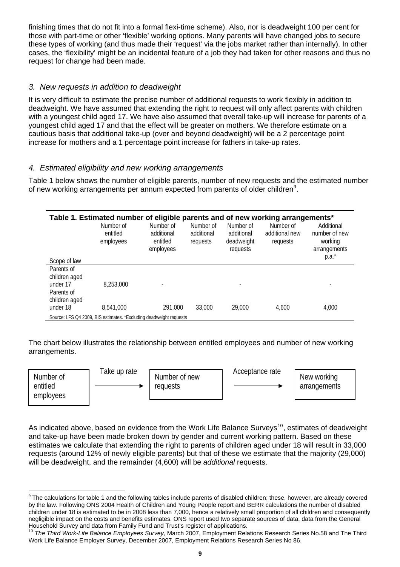finishing times that do not fit into a formal flexi-time scheme). Also, nor is deadweight 100 per cent for those with part-time or other 'flexible' working options. Many parents will have changed jobs to secure these types of working (and thus made their 'request' via the jobs market rather than internally). In other cases, the 'flexibility' might be an incidental feature of a job they had taken for other reasons and thus no request for change had been made.

## *3. New requests in addition to deadweight*

It is very difficult to estimate the precise number of additional requests to work flexibly in addition to deadweight. We have assumed that extending the right to request will only affect parents with children with a youngest child aged 17. We have also assumed that overall take-up will increase for parents of a youngest child aged 17 and that the effect will be greater on mothers. We therefore estimate on a cautious basis that additional take-up (over and beyond deadweight) will be a 2 percentage point increase for mothers and a 1 percentage point increase for fathers in take-up rates.

## *4. Estimated eligibility and new working arrangements*

Table 1 below shows the number of eligible parents, number of new requests and the estimated number of new working arrangements per annum expected from parents of older children<sup>[9](#page-9-0)</sup>.

| Table 1. Estimated number of eligible parents and of new working arrangements* |                                    |                                                  |                                     |                                                   |                                         |                                                        |
|--------------------------------------------------------------------------------|------------------------------------|--------------------------------------------------|-------------------------------------|---------------------------------------------------|-----------------------------------------|--------------------------------------------------------|
|                                                                                | Number of<br>entitled<br>employees | Number of<br>additional<br>entitled<br>employees | Number of<br>additional<br>requests | Number of<br>additional<br>deadweight<br>requests | Number of<br>additional new<br>requests | Additional<br>number of new<br>working<br>arrangements |
| Scope of law                                                                   |                                    |                                                  |                                     |                                                   |                                         | $p.a.*$                                                |
| Parents of<br>children aged                                                    |                                    |                                                  |                                     |                                                   |                                         |                                                        |
| under 17<br>Parents of<br>children aged                                        | 8,253,000                          |                                                  |                                     |                                                   |                                         |                                                        |
| under 18                                                                       | 8,541,000                          | 291.000                                          | 33.000                              | 29,000                                            | 4.600                                   | 4.000                                                  |
| Source: LFS Q4 2009, BIS estimates. *Excluding deadweight requests             |                                    |                                                  |                                     |                                                   |                                         |                                                        |

The chart below illustrates the relationship between entitled employees and number of new working arrangements.

| Take up rate<br>Number of<br>entitled<br>employees | Number of new<br>reauests | Acceptance rate | New working<br>arrangements |
|----------------------------------------------------|---------------------------|-----------------|-----------------------------|
|----------------------------------------------------|---------------------------|-----------------|-----------------------------|

As indicated above, based on evidence from the Work Life Balance Surveys<sup>[10](#page-9-1)</sup>, estimates of deadweight and take-up have been made broken down by gender and current working pattern. Based on these estimates we calculate that extending the right to parents of children aged under 18 will result in 33,000 requests (around 12% of newly eligible parents) but that of these we estimate that the majority (29,000) will be deadweight, and the remainder (4,600) will be *additional* requests.

<span id="page-9-0"></span>l  $9$  The calculations for table 1 and the following tables include parents of disabled children; these, however, are already covered by the law. Following ONS 2004 Health of Children and Young People report and BERR calculations the number of disabled children under 18 is estimated to be in 2008 less than 7,000, hence a relatively small proportion of all children and consequently negligible impact on the costs and benefits estimates. ONS report used two separate sources of data, data from the General Household Survey and data from Family Fund and Trust's register of applications.

<span id="page-9-1"></span><sup>10</sup> *The Third Work-Life Balance Employees Survey*, March 2007, Employment Relations Research Series No.58 and The Third Work Life Balance Employer Survey, December 2007, Employment Relations Research Series No 86.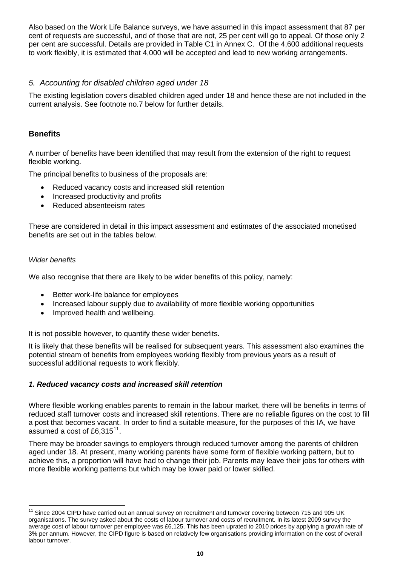Also based on the Work Life Balance surveys, we have assumed in this impact assessment that 87 per cent of requests are successful, and of those that are not, 25 per cent will go to appeal. Of those only 2 per cent are successful. Details are provided in Table C1 in Annex C. Of the 4,600 additional requests to work flexibly, it is estimated that 4,000 will be accepted and lead to new working arrangements.

## *5. Accounting for disabled children aged under 18*

The existing legislation covers disabled children aged under 18 and hence these are not included in the current analysis. See footnote no.7 below for further details.

## **Benefits**

A number of benefits have been identified that may result from the extension of the right to request flexible working.

The principal benefits to business of the proposals are:

- Reduced vacancy costs and increased skill retention
- Increased productivity and profits
- Reduced absenteeism rates

These are considered in detail in this impact assessment and estimates of the associated monetised benefits are set out in the tables below.

#### *Wider benefits*

 $\overline{1}$ 

We also recognise that there are likely to be wider benefits of this policy, namely:

- Better work-life balance for employees
- Increased labour supply due to availability of more flexible working opportunities
- Improved health and wellbeing.

It is not possible however, to quantify these wider benefits.

It is likely that these benefits will be realised for subsequent years. This assessment also examines the potential stream of benefits from employees working flexibly from previous years as a result of successful additional requests to work flexibly.

## *1. Reduced vacancy costs and increased skill retention*

Where flexible working enables parents to remain in the labour market, there will be benefits in terms of reduced staff turnover costs and increased skill retentions. There are no reliable figures on the cost to fill a post that becomes vacant. In order to find a suitable measure, for the purposes of this IA, we have assumed a cost of £6,315 $^{11}$  $^{11}$  $^{11}$ .

There may be broader savings to employers through reduced turnover among the parents of children aged under 18. At present, many working parents have some form of flexible working pattern, but to achieve this, a proportion will have had to change their job. Parents may leave their jobs for others with more flexible working patterns but which may be lower paid or lower skilled.

<span id="page-10-0"></span><sup>&</sup>lt;sup>11</sup> Since 2004 CIPD have carried out an annual survey on recruitment and turnover covering between 715 and 905 UK organisations. The survey asked about the costs of labour turnover and costs of recruitment. In its latest 2009 survey the average cost of labour turnover per employee was £6,125. This has been uprated to 2010 prices by applying a growth rate of 3% per annum. However, the CIPD figure is based on relatively few organisations providing information on the cost of overall labour turnover.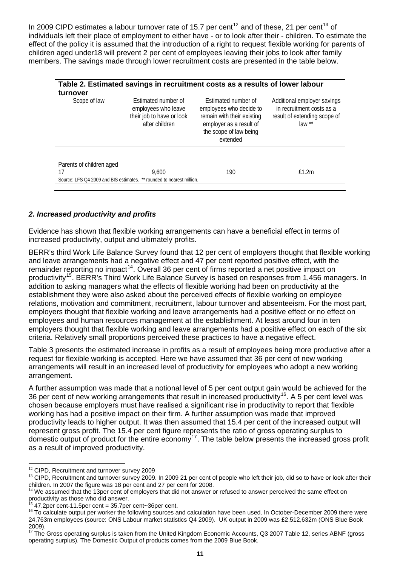In 2009 CIPD estimates a labour turnover rate of 15.7 per cent<sup>[12](#page-11-0)</sup> and of these, 21 per cent<sup>[13](#page-11-1)</sup> of individuals left their place of employment to either have - or to look after their - children. To estimate the effect of the policy it is assumed that the introduction of a right to request flexible working for parents of children aged under18 will prevent 2 per cent of employees leaving their jobs to look after family members. The savings made through lower recruitment costs are presented in the table below.

| turnover                       |                                                                                           | Table 2. Estimated savings in recruitment costs as a results of lower labour                                                                  |                                                                                                     |
|--------------------------------|-------------------------------------------------------------------------------------------|-----------------------------------------------------------------------------------------------------------------------------------------------|-----------------------------------------------------------------------------------------------------|
| Scope of law                   | Estimated number of<br>employees who leave<br>their job to have or look<br>after children | Estimated number of<br>employees who decide to<br>remain with their existing<br>employer as a result of<br>the scope of law being<br>extended | Additional employer savings<br>in recruitment costs as a<br>result of extending scope of<br>$law**$ |
| Parents of children aged<br>17 | 9.600<br>Source: LFS Q4 2009 and BIS estimates. ** rounded to nearest million.            | 190                                                                                                                                           | f1.2m                                                                                               |

## *2. Increased productivity and profits*

Evidence has shown that flexible working arrangements can have a beneficial effect in terms of increased productivity, output and ultimately profits.

BERR's third Work Life Balance Survey found that 12 per cent of employers thought that flexible working and leave arrangements had a negative effect and 47 per cent reported positive effect, with the remainder reporting no impact<sup>[14](#page-11-2)</sup>. Overall 36 per cent of firms reported a net positive impact on productivity<sup>[15](#page-11-3)</sup>. BERR's Third Work Life Balance Survey is based on responses from 1,456 managers. In addition to asking managers what the effects of flexible working had been on productivity at the establishment they were also asked about the perceived effects of flexible working on employee relations, motivation and commitment, recruitment, labour turnover and absenteeism. For the most part, employers thought that flexible working and leave arrangements had a positive effect or no effect on employees and human resources management at the establishment. At least around four in ten employers thought that flexible working and leave arrangements had a positive effect on each of the six criteria. Relatively small proportions perceived these practices to have a negative effect.

Table 3 presents the estimated increase in profits as a result of employees being more productive after a request for flexible working is accepted. Here we have assumed that 36 per cent of new working arrangements will result in an increased level of productivity for employees who adopt a new working arrangement.

A further assumption was made that a notional level of 5 per cent output gain would be achieved for the 36 per cent of new working arrangements that result in increased productivity<sup>[16](#page-11-4)</sup>. A 5 per cent level was chosen because employers must have realised a significant rise in productivity to report that flexible working has had a positive impact on their firm. A further assumption was made that improved productivity leads to higher output. It was then assumed that 15.4 per cent of the increased output will represent gross profit. The 15.4 per cent figure represents the ratio of gross operating surplus to domestic output of product for the entire economy<sup>[17](#page-11-5)</sup>. The table below presents the increased gross profit as a result of improved productivity.

l

<span id="page-11-0"></span><sup>&</sup>lt;sup>12</sup> CIPD, Recruitment and turnover survey 2009

<span id="page-11-1"></span><sup>&</sup>lt;sup>13</sup> CIPD, Recruitment and turnover survey 2009. In 2009 21 per cent of people who left their job, did so to have or look after their children. In 2007 the figure was 18 per cent and 27 per cent for 2008.

<span id="page-11-2"></span><sup>&</sup>lt;sup>14</sup> We assumed that the 13per cent of employers that did not answer or refused to answer perceived the same effect on productivity as those who did answer.

<span id="page-11-3"></span><sup>15</sup> 47.2per cent-11.5per cent = 35.7per cent~36per cent.

<span id="page-11-4"></span><sup>&</sup>lt;sup>16</sup> To calculate output per worker the following sources and calculation have been used. In October-December 2009 there were 24,763m employees (source: ONS Labour market statistics Q4 2009). UK output in 2009 was £2,512,632m (ONS Blue Book 2009).

<span id="page-11-5"></span> $17$  The Gross operating surplus is taken from the United Kingdom Economic Accounts, Q3 2007 Table 12, series ABNF (gross operating surplus). The Domestic Output of products comes from the 2009 Blue Book.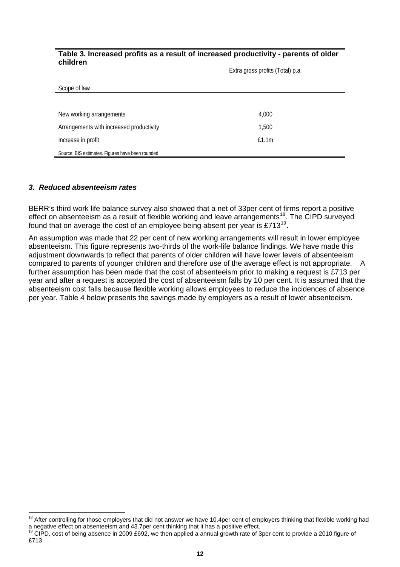#### **Table 3. Increased profits as a result of increased productivity - parents of older children**

Extra gross profits (Total) p.a.

| Scope of law                                     |       |  |
|--------------------------------------------------|-------|--|
|                                                  |       |  |
| New working arrangements                         | 4,000 |  |
| Arrangements with increased productivity         | 1,500 |  |
| Increase in profit                               | £1.1m |  |
| Source: BIS estimates. Figures have been rounded |       |  |

#### *3. Reduced absenteeism rates*

l

BERR's third work life balance survey also showed that a net of 33per cent of firms report a positive effect on absenteeism as a result of flexible working and leave arrangements<sup>[18](#page-12-0)</sup>. The CIPD surveyed found that on average the cost of an employee being absent per year is £713[19](#page-12-1).

An assumption was made that 22 per cent of new working arrangements will result in lower employee absenteeism. This figure represents two-thirds of the work-life balance findings. We have made this adjustment downwards to reflect that parents of older children will have lower levels of absenteeism compared to parents of younger children and therefore use of the average effect is not appropriate. A further assumption has been made that the cost of absenteeism prior to making a request is £713 per year and after a request is accepted the cost of absenteeism falls by 10 per cent. It is assumed that the absenteeism cost falls because flexible working allows employees to reduce the incidences of absence per year. Table 4 below presents the savings made by employers as a result of lower absenteeism.

<span id="page-12-0"></span><sup>&</sup>lt;sup>18</sup> After controlling for those employers that did not answer we have 10.4per cent of employers thinking that flexible working had a negative effect on absenteeism and 43.7per cent thinking that it has a positive effect.<br><sup>19</sup> CIPD, cost of being absence in 2009 £692, we then applied a annual growth rate of 3per cent to provide a 2010 figure of

<span id="page-12-1"></span><sup>£713.</sup>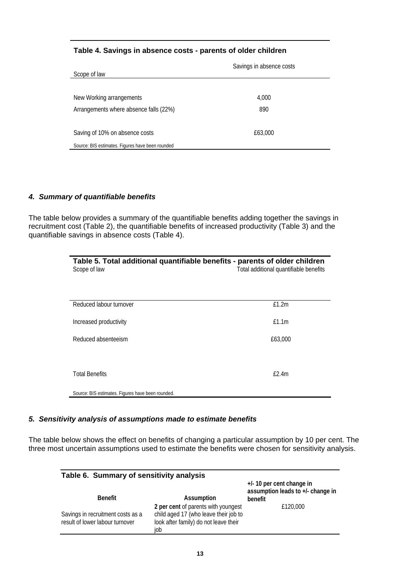### **Table 4. Savings in absence costs - parents of older children**

|                                                  | Savings in absence costs |
|--------------------------------------------------|--------------------------|
| Scope of law                                     |                          |
|                                                  |                          |
| New Working arrangements                         | 4,000                    |
| Arrangements where absence falls (22%)           | 890                      |
|                                                  |                          |
| Saving of 10% on absence costs                   | £63,000                  |
| Source: BIS estimates. Figures have been rounded |                          |

## *4. Summary of quantifiable benefits*

The table below provides a summary of the quantifiable benefits adding together the savings in recruitment cost (Table 2), the quantifiable benefits of increased productivity (Table 3) and the quantifiable savings in absence costs (Table 4).

| Table 5. Total additional quantifiable benefits - parents of older children<br>Scope of law | Total additional quantifiable benefits |
|---------------------------------------------------------------------------------------------|----------------------------------------|
| Reduced labour turnover                                                                     | £1.2m                                  |
| Increased productivity                                                                      | £1.1m                                  |
| Reduced absenteeism                                                                         | £63,000                                |
|                                                                                             |                                        |
| <b>Total Benefits</b>                                                                       | E2.4m                                  |
| Source: BIS estimates. Figures have been rounded.                                           |                                        |

## *5. Sensitivity analysis of assumptions made to estimate benefits*

The table below shows the effect on benefits of changing a particular assumption by 10 per cent. The three most uncertain assumptions used to estimate the benefits were chosen for sensitivity analysis.

| Table 6. Summary of sensitivity analysis                             |                                                                                                                              |                                                                             |  |  |
|----------------------------------------------------------------------|------------------------------------------------------------------------------------------------------------------------------|-----------------------------------------------------------------------------|--|--|
| <b>Benefit</b>                                                       | Assumption                                                                                                                   | $+/-$ 10 per cent change in<br>assumption leads to +/- change in<br>benefit |  |  |
| Savings in recruitment costs as a<br>result of lower labour turnover | 2 per cent of parents with youngest<br>child aged 17 (who leave their job to<br>look after family) do not leave their<br>iob | £120,000                                                                    |  |  |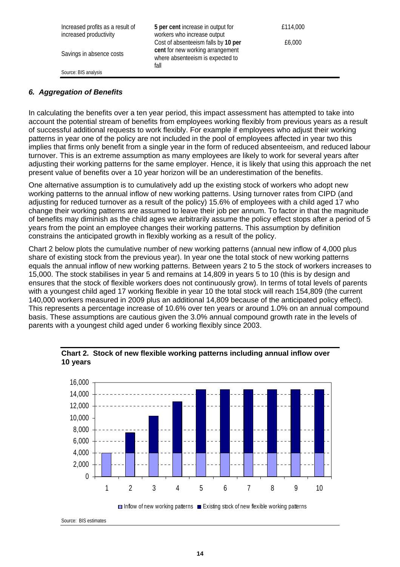| Increased profits as a result of<br>increased productivity | 5 per cent increase in output for<br>workers who increase output                                                    | £114,000 |
|------------------------------------------------------------|---------------------------------------------------------------------------------------------------------------------|----------|
| Savings in absence costs                                   | Cost of absenteeism falls by 10 per<br>cent for new working arrangement<br>where absenteeism is expected to<br>fall | £6,000   |
| Source: BIS analysis                                       |                                                                                                                     |          |

## *6. Aggregation of Benefits*

In calculating the benefits over a ten year period, this impact assessment has attempted to take into account the potential stream of benefits from employees working flexibly from previous years as a result of successful additional requests to work flexibly. For example if employees who adjust their working patterns in year one of the policy are not included in the pool of employees affected in year two this implies that firms only benefit from a single year in the form of reduced absenteeism, and reduced labour turnover. This is an extreme assumption as many employees are likely to work for several years after adjusting their working patterns for the same employer. Hence, it is likely that using this approach the net present value of benefits over a 10 year horizon will be an underestimation of the benefits.

One alternative assumption is to cumulatively add up the existing stock of workers who adopt new working patterns to the annual inflow of new working patterns. Using turnover rates from CIPD (and adjusting for reduced turnover as a result of the policy) 15.6% of employees with a child aged 17 who change their working patterns are assumed to leave their job per annum. To factor in that the magnitude of benefits may diminish as the child ages we arbitrarily assume the policy effect stops after a period of 5 years from the point an employee changes their working patterns. This assumption by definition constrains the anticipated growth in flexibly working as a result of the policy.

Chart 2 below plots the cumulative number of new working patterns (annual new inflow of 4,000 plus share of existing stock from the previous year). In year one the total stock of new working patterns equals the annual inflow of new working patterns. Between years 2 to 5 the stock of workers increases to 15,000. The stock stabilises in year 5 and remains at 14,809 in years 5 to 10 (this is by design and ensures that the stock of flexible workers does not continuously grow). In terms of total levels of parents with a youngest child aged 17 working flexible in year 10 the total stock will reach 154,809 (the current 140,000 workers measured in 2009 plus an additional 14,809 because of the anticipated policy effect). This represents a percentage increase of 10.6% over ten years or around 1.0% on an annual compound basis. These assumptions are cautious given the 3.0% annual compound growth rate in the levels of parents with a youngest child aged under 6 working flexibly since 2003.



#### **Chart 2. Stock of new flexible working patterns including annual inflow over 10 years**

 $\Box$  Inflow of new working patterns  $\Box$  Existing stock of new flexible working patterns

Source: BIS estimates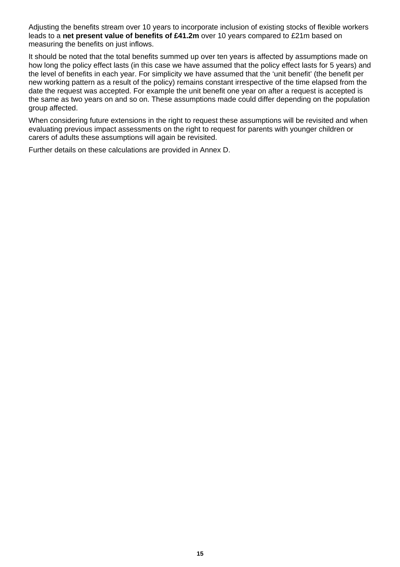Adjusting the benefits stream over 10 years to incorporate inclusion of existing stocks of flexible workers leads to a **net present value of benefits of £41.2m** over 10 years compared to £21m based on measuring the benefits on just inflows.

It should be noted that the total benefits summed up over ten years is affected by assumptions made on how long the policy effect lasts (in this case we have assumed that the policy effect lasts for 5 years) and the level of benefits in each year. For simplicity we have assumed that the 'unit benefit' (the benefit per new working pattern as a result of the policy) remains constant irrespective of the time elapsed from the date the request was accepted. For example the unit benefit one year on after a request is accepted is the same as two years on and so on. These assumptions made could differ depending on the population group affected.

When considering future extensions in the right to request these assumptions will be revisited and when evaluating previous impact assessments on the right to request for parents with younger children or carers of adults these assumptions will again be revisited.

Further details on these calculations are provided in Annex D.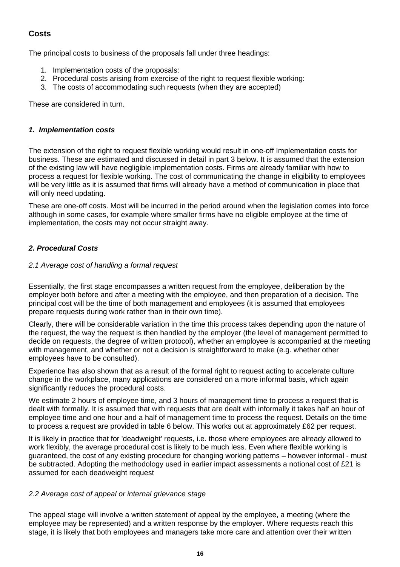## **Costs**

The principal costs to business of the proposals fall under three headings:

- 1. Implementation costs of the proposals:
- 2. Procedural costs arising from exercise of the right to request flexible working:
- 3. The costs of accommodating such requests (when they are accepted)

These are considered in turn.

## *1. Implementation costs*

The extension of the right to request flexible working would result in one-off Implementation costs for business. These are estimated and discussed in detail in part 3 below. It is assumed that the extension of the existing law will have negligible implementation costs. Firms are already familiar with how to process a request for flexible working. The cost of communicating the change in eligibility to employees will be very little as it is assumed that firms will already have a method of communication in place that will only need updating.

These are one-off costs. Most will be incurred in the period around when the legislation comes into force although in some cases, for example where smaller firms have no eligible employee at the time of implementation, the costs may not occur straight away.

## *2. Procedural Costs*

## *2.1 Average cost of handling a formal request*

Essentially, the first stage encompasses a written request from the employee, deliberation by the employer both before and after a meeting with the employee, and then preparation of a decision. The principal cost will be the time of both management and employees (it is assumed that employees prepare requests during work rather than in their own time).

Clearly, there will be considerable variation in the time this process takes depending upon the nature of the request, the way the request is then handled by the employer (the level of management permitted to decide on requests, the degree of written protocol), whether an employee is accompanied at the meeting with management, and whether or not a decision is straightforward to make (e.g. whether other employees have to be consulted).

Experience has also shown that as a result of the formal right to request acting to accelerate culture change in the workplace, many applications are considered on a more informal basis, which again significantly reduces the procedural costs.

We estimate 2 hours of employee time, and 3 hours of management time to process a request that is dealt with formally. It is assumed that with requests that are dealt with informally it takes half an hour of employee time and one hour and a half of management time to process the request. Details on the time to process a request are provided in table 6 below. This works out at approximately £62 per request.

It is likely in practice that for 'deadweight' requests, i.e. those where employees are already allowed to work flexibly, the average procedural cost is likely to be much less. Even where flexible working is guaranteed, the cost of any existing procedure for changing working patterns – however informal - must be subtracted. Adopting the methodology used in earlier impact assessments a notional cost of £21 is assumed for each deadweight request

#### *2.2 Average cost of appeal or internal grievance stage*

The appeal stage will involve a written statement of appeal by the employee, a meeting (where the employee may be represented) and a written response by the employer. Where requests reach this stage, it is likely that both employees and managers take more care and attention over their written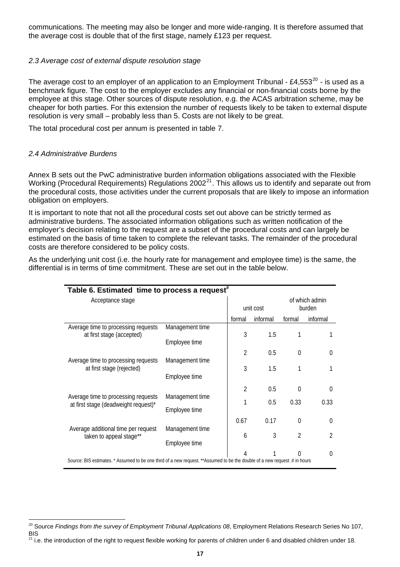communications. The meeting may also be longer and more wide-ranging. It is therefore assumed that the average cost is double that of the first stage, namely £123 per request.

#### *2.3 Average cost of external dispute resolution stage*

The average cost to an employer of an application to an Employment Tribunal - £4,553 $^{20}$  $^{20}$  $^{20}$  - is used as a benchmark figure. The cost to the employer excludes any financial or non-financial costs borne by the employee at this stage. Other sources of dispute resolution, e.g. the ACAS arbitration scheme, may be cheaper for both parties. For this extension the number of requests likely to be taken to external dispute resolution is very small – probably less than 5. Costs are not likely to be great.

The total procedural cost per annum is presented in table 7.

#### *2.4 Administrative Burdens*

Annex B sets out the PwC administrative burden information obligations associated with the Flexible Working (Procedural Requirements) Regulations 2002<sup>[21](#page-17-1)</sup>. This allows us to identify and separate out from the procedural costs, those activities under the current proposals that are likely to impose an information obligation on employers.

It is important to note that not all the procedural costs set out above can be strictly termed as administrative burdens. The associated information obligations such as written notification of the employer's decision relating to the request are a subset of the procedural costs and can largely be estimated on the basis of time taken to complete the relevant tasks. The remainder of the procedural costs are therefore considered to be policy costs.

As the underlying unit cost (i.e. the hourly rate for management and employee time) is the same, the differential is in terms of time commitment. These are set out in the table below.

| Table 6. Estimated time to process a request <sup>#</sup>                                                                 |                 |                |          |                          |          |
|---------------------------------------------------------------------------------------------------------------------------|-----------------|----------------|----------|--------------------------|----------|
| Acceptance stage                                                                                                          |                 | unit cost      |          | of which admin<br>burden |          |
|                                                                                                                           |                 | formal         | informal | formal                   | informal |
| Average time to processing requests<br>at first stage (accepted)                                                          | Management time | 3              | 1.5      | 1                        |          |
|                                                                                                                           | Employee time   |                |          |                          |          |
|                                                                                                                           |                 | $\mathfrak{D}$ | 0.5      | $\theta$                 | 0        |
| Average time to processing requests<br>at first stage (rejected)                                                          | Management time | 3              | 1.5      | 1                        |          |
|                                                                                                                           | Employee time   |                |          |                          |          |
|                                                                                                                           |                 | $\mathfrak{D}$ | 0.5      | $\Omega$                 | $\Omega$ |
| Average time to processing requests<br>at first stage (deadweight request)*                                               | Management time | 1              | 0.5      | 0.33                     | 0.33     |
|                                                                                                                           | Employee time   |                |          |                          |          |
|                                                                                                                           |                 | 0.67           | 0.17     | $\theta$                 | 0        |
| Average additional time per request<br>taken to appeal stage**                                                            | Management time | 6              | 3        | $\mathfrak{D}$           | 2        |
|                                                                                                                           | Employee time   |                |          |                          |          |
|                                                                                                                           |                 | Λ              |          |                          | 0        |
| Source: BIS estimates. * Assumed to be one third of a new request. **Assumed to be the double of a new request # in hours |                 |                |          |                          |          |

<span id="page-17-0"></span>l <sup>20</sup> Source *Findings from the survey of Employment Tribunal Applications 08*, Employment Relations Research Series No 107, BIS

<span id="page-17-1"></span> $^{21}$  i.e. the introduction of the right to request flexible working for parents of children under 6 and disabled children under 18.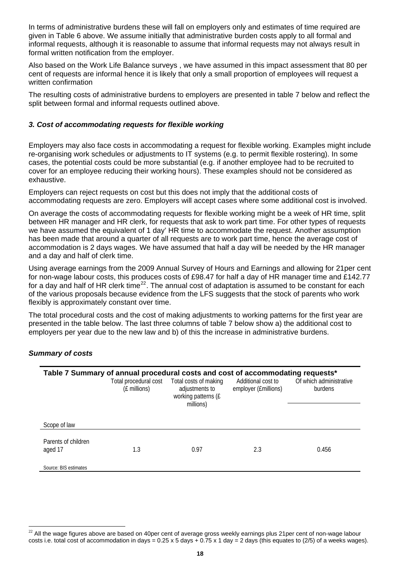In terms of administrative burdens these will fall on employers only and estimates of time required are given in Table 6 above. We assume initially that administrative burden costs apply to all formal and informal requests, although it is reasonable to assume that informal requests may not always result in formal written notification from the employer.

Also based on the Work Life Balance surveys , we have assumed in this impact assessment that 80 per cent of requests are informal hence it is likely that only a small proportion of employees will request a written confirmation

The resulting costs of administrative burdens to employers are presented in table 7 below and reflect the split between formal and informal requests outlined above.

#### *3. Cost of accommodating requests for flexible working*

Employers may also face costs in accommodating a request for flexible working. Examples might include re-organising work schedules or adjustments to IT systems (e.g. to permit flexible rostering). In some cases, the potential costs could be more substantial (e.g. if another employee had to be recruited to cover for an employee reducing their working hours). These examples should not be considered as exhaustive.

Employers can reject requests on cost but this does not imply that the additional costs of accommodating requests are zero. Employers will accept cases where some additional cost is involved.

On average the costs of accommodating requests for flexible working might be a week of HR time, split between HR manager and HR clerk, for requests that ask to work part time. For other types of requests we have assumed the equivalent of 1 day' HR time to accommodate the request. Another assumption has been made that around a quarter of all requests are to work part time, hence the average cost of accommodation is 2 days wages. We have assumed that half a day will be needed by the HR manager and a day and half of clerk time.

Using average earnings from the 2009 Annual Survey of Hours and Earnings and allowing for 21per cent for non-wage labour costs, this produces costs of £98.47 for half a day of HR manager time and £142.77 for a day and half of HR clerk time<sup>[22](#page-18-0)</sup>. The annual cost of adaptation is assumed to be constant for each of the various proposals because evidence from the LFS suggests that the stock of parents who work flexibly is approximately constant over time.

The total procedural costs and the cost of making adjustments to working patterns for the first year are presented in the table below. The last three columns of table 7 below show a) the additional cost to employers per year due to the new law and b) of this the increase in administrative burdens.

#### *Summary of costs*

l

|                                | Table 7 Summary of annual procedural costs and cost of accommodating requests*<br>Total procedural cost<br>(£ millions) | Total costs of making<br>adjustments to<br>working patterns (£<br>millions) | Additional cost to<br>employer (£millions) | Of which administrative<br>burdens |
|--------------------------------|-------------------------------------------------------------------------------------------------------------------------|-----------------------------------------------------------------------------|--------------------------------------------|------------------------------------|
| Scope of law                   |                                                                                                                         |                                                                             |                                            |                                    |
| Parents of children<br>aged 17 | 1.3                                                                                                                     | 0.97                                                                        | 2.3                                        | 0.456                              |
| Source: BIS estimates          |                                                                                                                         |                                                                             |                                            |                                    |

<span id="page-18-0"></span> $22$  All the wage figures above are based on 40per cent of average gross weekly earnings plus 21per cent of non-wage labour costs i.e. total cost of accommodation in days =  $0.25 \times 5$  days +  $0.75 \times 1$  day = 2 days (this equates to (2/5) of a weeks wages).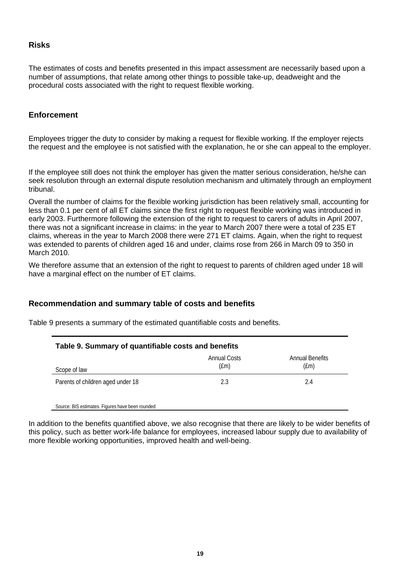### **Risks**

The estimates of costs and benefits presented in this impact assessment are necessarily based upon a number of assumptions, that relate among other things to possible take-up, deadweight and the procedural costs associated with the right to request flexible working.

## **Enforcement**

Employees trigger the duty to consider by making a request for flexible working. If the employer rejects the request and the employee is not satisfied with the explanation, he or she can appeal to the employer.

If the employee still does not think the employer has given the matter serious consideration, he/she can seek resolution through an external dispute resolution mechanism and ultimately through an employment tribunal.

Overall the number of claims for the flexible working jurisdiction has been relatively small, accounting for less than 0.1 per cent of all ET claims since the first right to request flexible working was introduced in early 2003. Furthermore following the extension of the right to request to carers of adults in April 2007, there was not a significant increase in claims: in the year to March 2007 there were a total of 235 ET claims, whereas in the year to March 2008 there were 271 ET claims. Again, when the right to request was extended to parents of children aged 16 and under, claims rose from 266 in March 09 to 350 in March 2010.

We therefore assume that an extension of the right to request to parents of children aged under 18 will have a marginal effect on the number of ET claims.

## **Recommendation and summary table of costs and benefits**

Source: BIS estimates. Figures have been rounded

Table 9 presents a summary of the estimated quantifiable costs and benefits.

| Table 9. Summary of quantifiable costs and benefits |                                   |                                  |  |
|-----------------------------------------------------|-----------------------------------|----------------------------------|--|
| Scope of law                                        | Annual Costs<br>(f <sub>m</sub> ) | Annual Benefits<br>$(\text{fm})$ |  |
| Parents of children aged under 18                   | 2.3                               | 2.4                              |  |

In addition to the benefits quantified above, we also recognise that there are likely to be wider benefits of this policy, such as better work-life balance for employees, increased labour supply due to availability of more flexible working opportunities, improved health and well-being.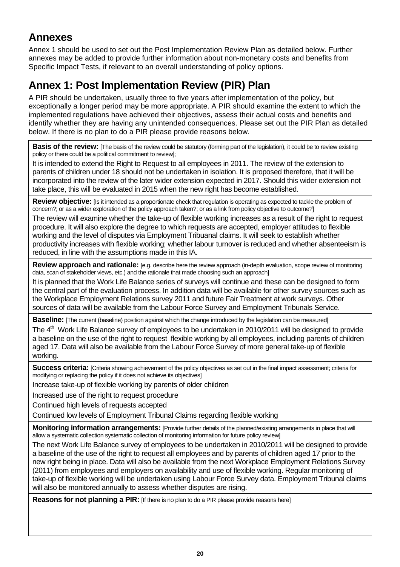## **Annexes**

Annex 1 should be used to set out the Post Implementation Review Plan as detailed below. Further annexes may be added to provide further information about non-monetary costs and benefits from Specific Impact Tests, if relevant to an overall understanding of policy options.

## **Annex 1: Post Implementation Review (PIR) Plan**

A PIR should be undertaken, usually three to five years after implementation of the policy, but exceptionally a longer period may be more appropriate. A PIR should examine the extent to which the implemented regulations have achieved their objectives, assess their actual costs and benefits and identify whether they are having any unintended consequences. Please set out the PIR Plan as detailed below. If there is no plan to do a PIR please provide reasons below.

**Basis of the review:** [The basis of the review could be statutory (forming part of the legislation), it could be to review existing policy or there could be a political commitment to review];

It is intended to extend the Right to Request to all employees in 2011. The review of the extension to parents of children under 18 should not be undertaken in isolation. It is proposed therefore, that it will be incorporated into the review of the later wider extension expected in 2017. Should this wider extension not take place, this will be evaluated in 2015 when the new right has become established.

**Review objective:** [Is it intended as a proportionate check that regulation is operating as expected to tackle the problem of concern?; or as a wider exploration of the policy approach taken?; or as a link from policy objective to outcome?]

The review will examine whether the take-up of flexible working increases as a result of the right to request procedure. It will also explore the degree to which requests are accepted, employer attitudes to flexible working and the level of disputes via Employment Tribuanal claims. It will seek to establish whether productivity increases with flexible working; whether labour turnover is reduced and whether absenteeism is reduced, in line with the assumptions made in this IA.

**Review approach and rationale:** [e.g. describe here the review approach (in-depth evaluation, scope review of monitoring data, scan of stakeholder views, etc.) and the rationale that made choosing such an approach]

It is planned that the Work Life Balance series of surveys will continue and these can be designed to form the central part of the evaluation process. In addition data will be available for other survey sources such as the Workplace Employment Relations survey 2011 and future Fair Treatment at work surveys. Other sources of data will be available from the Labour Force Survey and Employment Tribunals Service.

**Baseline:** [The current (baseline) position against which the change introduced by the legislation can be measured]

The 4<sup>th</sup> Work Life Balance survey of employees to be undertaken in 2010/2011 will be designed to provide a baseline on the use of the right to request flexible working by all employees, including parents of children aged 17. Data will also be available from the Labour Force Survey of more general take-up of flexible working.

**Success criteria:** [Criteria showing achievement of the policy objectives as set out in the final impact assessment; criteria for modifying or replacing the policy if it does not achieve its objectives]

Increase take-up of flexible working by parents of older children

Increased use of the right to request procedure

Continued high levels of requests accepted

Continued low levels of Employment Tribunal Claims regarding flexible working

**Monitoring information arrangements:** [Provide further details of the planned/existing arrangements in place that will allow a systematic collection systematic collection of monitoring information for future policy review]

The next Work Life Balance survey of employees to be undertaken in 2010/2011 will be designed to provide a baseline of the use of the right to request all employees and by parents of children aged 17 prior to the new right being in place. Data will also be available from the next Workplace Employment Relations Survey (2011) from employees and employers on availability and use of flexible working. Regular monitoring of take-up of flexible working will be undertaken using Labour Force Survey data. Employment Tribunal claims will also be monitored annually to assess whether disputes are rising.

**Reasons for not planning a PIR:** [If there is no plan to do a PIR please provide reasons here]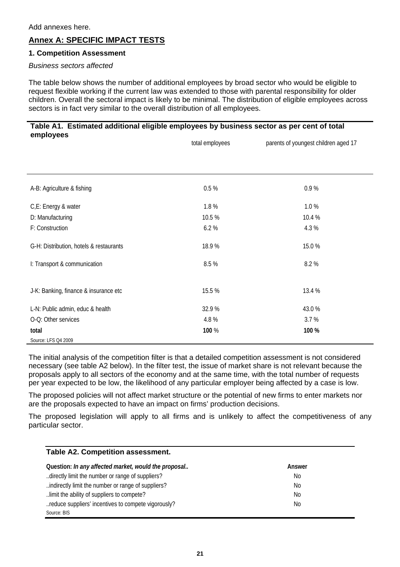## **Annex A: SPECIFIC IMPACT TESTS**

#### **1. Competition Assessment**

#### *Business sectors affected*

The table below shows the number of additional employees by broad sector who would be eligible to request flexible working if the current law was extended to those with parental responsibility for older children. Overall the sectoral impact is likely to be minimal. The distribution of eligible employees across sectors is in fact very similar to the overall distribution of all employees.

#### **Table A1. Estimated additional eligible employees by business sector as per cent of total employees**

|                                         | total employees | parents of youngest children aged 17 |
|-----------------------------------------|-----------------|--------------------------------------|
|                                         |                 |                                      |
| A-B: Agriculture & fishing              | 0.5%            | 0.9%                                 |
| C,E: Energy & water                     | 1.8%            | 1.0%                                 |
| D: Manufacturing                        | 10.5 %          | 10.4 %                               |
| F: Construction                         | 6.2%            | 4.3%                                 |
| G-H: Distribution, hotels & restaurants | 18.9%           | 15.0%                                |
| I: Transport & communication            | 8.5 %           | 8.2%                                 |
| J-K: Banking, finance & insurance etc   | 15.5 %          | 13.4 %                               |
| L-N: Public admin, educ & health        | 32.9%           | 43.0%                                |
| O-Q: Other services                     | 4.8%            | 3.7%                                 |
| total                                   | 100 %           | 100 %                                |
| Source: LFS Q4 2009                     |                 |                                      |

The initial analysis of the competition filter is that a detailed competition assessment is not considered necessary (see table A2 below). In the filter test, the issue of market share is not relevant because the proposals apply to all sectors of the economy and at the same time, with the total number of requests per year expected to be low, the likelihood of any particular employer being affected by a case is low.

The proposed policies will not affect market structure or the potential of new firms to enter markets nor are the proposals expected to have an impact on firms' production decisions.

The proposed legislation will apply to all firms and is unlikely to affect the competitiveness of any particular sector.

| <b>Table A2. Competition assessment.</b>             |                |
|------------------------------------------------------|----------------|
| Question: In any affected market, would the proposal | Answer         |
| directly limit the number or range of suppliers?     | No             |
| indirectly limit the number or range of suppliers?   | No             |
| limit the ability of suppliers to compete?           | No             |
| reduce suppliers' incentives to compete vigorously?  | N <sub>0</sub> |
| Source: BIS                                          |                |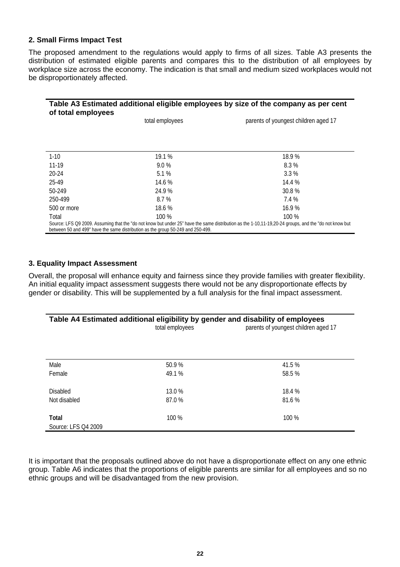#### **2. Small Firms Impact Test**

The proposed amendment to the regulations would apply to firms of all sizes. Table A3 presents the distribution of estimated eligible parents and compares this to the distribution of all employees by workplace size across the economy. The indication is that small and medium sized workplaces would not be disproportionately affected.

#### **Table A3 Estimated additional eligible employees by size of the company as per cent of total employees**

|             | total employees                                                                 | parents of youngest children aged 17                                                                                                                  |
|-------------|---------------------------------------------------------------------------------|-------------------------------------------------------------------------------------------------------------------------------------------------------|
|             |                                                                                 |                                                                                                                                                       |
|             |                                                                                 |                                                                                                                                                       |
| $1-10$      | 19.1 %                                                                          | 18.9%                                                                                                                                                 |
| $11-19$     | $9.0\%$                                                                         | 8.3%                                                                                                                                                  |
| 20-24       | 5.1%                                                                            | $3.3\%$                                                                                                                                               |
| 25-49       | 14.6 %                                                                          | 14.4 %                                                                                                                                                |
| 50-249      | 24.9%                                                                           | 30.8 %                                                                                                                                                |
| 250-499     | 8.7 %                                                                           | 7.4 %                                                                                                                                                 |
| 500 or more | 18.6%                                                                           | 16.9%                                                                                                                                                 |
| Total       | $100\%$                                                                         | $100\%$                                                                                                                                               |
|             | between 50 and 499" have the same distribution as the group 50-249 and 250-499. | Source: LFS Q9 2009. Assuming that the "do not know but under 25" have the same distribution as the 1-10,11-19,20-24 groups, and the "do not know but |

## **3. Equality Impact Assessment**

Overall, the proposal will enhance equity and fairness since they provide families with greater flexibility. An initial equality impact assessment suggests there would not be any disproportionate effects by gender or disability. This will be supplemented by a full analysis for the final impact assessment.

| Table A4 Estimated additional eligibility by gender and disability of employees<br>parents of youngest children aged 17<br>total employees |         |         |
|--------------------------------------------------------------------------------------------------------------------------------------------|---------|---------|
| Male                                                                                                                                       | 50.9%   | 41.5 %  |
| Female                                                                                                                                     | 49.1 %  | 58.5 %  |
| <b>Disabled</b>                                                                                                                            | 13.0 %  | 18.4 %  |
| Not disabled                                                                                                                               | 87.0 %  | 81.6 %  |
| Total<br>Source: LFS Q4 2009                                                                                                               | $100\%$ | $100\%$ |

It is important that the proposals outlined above do not have a disproportionate effect on any one ethnic group. Table A6 indicates that the proportions of eligible parents are similar for all employees and so no ethnic groups and will be disadvantaged from the new provision.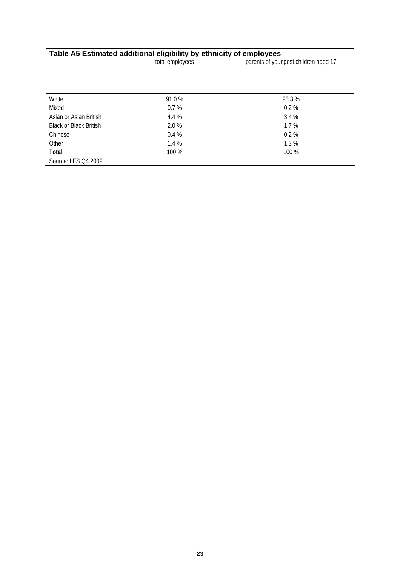#### **Table A5 Estimated additional eligibility by ethnicity of employees**

total employees parents of youngest children aged 17

| White                         | 91.0%   | 93.3 %  |  |
|-------------------------------|---------|---------|--|
| Mixed                         | 0.7%    | 0.2%    |  |
| Asian or Asian British        | 4.4 %   | 3.4%    |  |
| <b>Black or Black British</b> | 2.0 %   | 1.7%    |  |
| Chinese                       | $0.4\%$ | $0.2\%$ |  |
| Other                         | 1.4%    | 1.3%    |  |
| Total                         | $100\%$ | $100\%$ |  |
| Source: LFS Q4 2009           |         |         |  |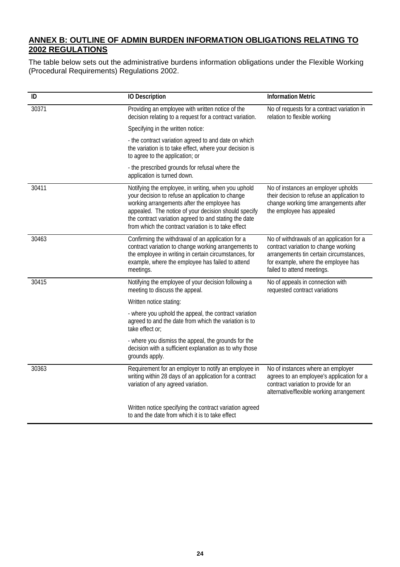## **ANNEX B: OUTLINE OF ADMIN BURDEN INFORMATION OBLIGATIONS RELATING TO 2002 REGULATIONS**

The table below sets out the administrative burdens information obligations under the Flexible Working (Procedural Requirements) Regulations 2002.

| ID    | <b>IO Description</b>                                                                                                                                                                                                                                                                                                          | <b>Information Metric</b>                                                                                                                                                                         |
|-------|--------------------------------------------------------------------------------------------------------------------------------------------------------------------------------------------------------------------------------------------------------------------------------------------------------------------------------|---------------------------------------------------------------------------------------------------------------------------------------------------------------------------------------------------|
| 30371 | Providing an employee with written notice of the<br>decision relating to a request for a contract variation.                                                                                                                                                                                                                   | No of requests for a contract variation in<br>relation to flexible working                                                                                                                        |
|       | Specifying in the written notice:                                                                                                                                                                                                                                                                                              |                                                                                                                                                                                                   |
|       | - the contract variation agreed to and date on which<br>the variation is to take effect, where your decision is<br>to agree to the application; or                                                                                                                                                                             |                                                                                                                                                                                                   |
|       | - the prescribed grounds for refusal where the<br>application is turned down.                                                                                                                                                                                                                                                  |                                                                                                                                                                                                   |
| 30411 | Notifying the employee, in writing, when you uphold<br>your decision to refuse an application to change<br>working arrangements after the employee has<br>appealed. The notice of your decision should specify<br>the contract variation agreed to and stating the date<br>from which the contract variation is to take effect | No of instances an employer upholds<br>their decision to refuse an application to<br>change working time arrangements after<br>the employee has appealed                                          |
| 30463 | Confirming the withdrawal of an application for a<br>contract variation to change working arrangements to<br>the employee in writing in certain circumstances, for<br>example, where the employee has failed to attend<br>meetings.                                                                                            | No of withdrawals of an application for a<br>contract variation to change working<br>arrangements tin certain circumstances,<br>for example, where the employee has<br>failed to attend meetings. |
| 30415 | Notifying the employee of your decision following a<br>meeting to discuss the appeal.                                                                                                                                                                                                                                          | No of appeals in connection with<br>requested contract variations                                                                                                                                 |
|       | Written notice stating:                                                                                                                                                                                                                                                                                                        |                                                                                                                                                                                                   |
|       | - where you uphold the appeal, the contract variation<br>agreed to and the date from which the variation is to<br>take effect or:                                                                                                                                                                                              |                                                                                                                                                                                                   |
|       | - where you dismiss the appeal, the grounds for the<br>decision with a sufficient explanation as to why those<br>grounds apply.                                                                                                                                                                                                |                                                                                                                                                                                                   |
| 30363 | Requirement for an employer to notify an employee in<br>writing within 28 days of an application for a contract<br>variation of any agreed variation.                                                                                                                                                                          | No of instances where an employer<br>agrees to an employee's application for a<br>contract variation to provide for an<br>alternative/flexible working arrangement                                |
|       | Written notice specifying the contract variation agreed<br>to and the date from which it is to take effect                                                                                                                                                                                                                     |                                                                                                                                                                                                   |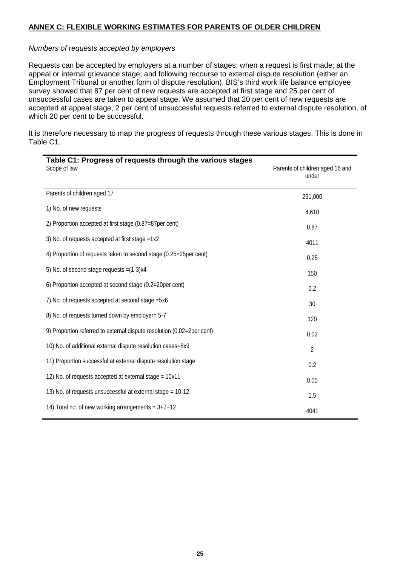#### **ANNEX C: FLEXIBLE WORKING ESTIMATES FOR PARENTS OF OLDER CHILDREN**

#### *Numbers of requests accepted by employers*

Requests can be accepted by employers at a number of stages: when a request is first made; at the appeal or internal grievance stage; and following recourse to external dispute resolution (either an Employment Tribunal or another form of dispute resolution). BIS's third work life balance employee survey showed that 87 per cent of new requests are accepted at first stage and 25 per cent of unsuccessful cases are taken to appeal stage. We assumed that 20 per cent of new requests are accepted at appeal stage, 2 per cent of unsuccessful requests referred to external dispute resolution, of which 20 per cent to be successful.

It is therefore necessary to map the progress of requests through these various stages. This is done in Table C1.

| Table C1: Progress of requests through the various stages<br>Scope of law | Parents of children aged 16 and<br>under |
|---------------------------------------------------------------------------|------------------------------------------|
| Parents of children aged 17                                               | 291,000                                  |
| 1) No. of new requests                                                    | 4,610                                    |
| 2) Proportion accepted at first stage (0.87=87per cent)                   | 0.87                                     |
| 3) No. of requests accepted at first stage =1x2                           | 4011                                     |
| 4) Proportion of requests taken to second stage (0.25=25per cent)         | 0.25                                     |
| 5) No. of second stage requests $=(1-3)x4$                                | 150                                      |
| 6) Proportion accepted at second stage (0.2=20per cent)                   | 0.2                                      |
| 7) No. of requests accepted at second stage = 5x6                         | 30                                       |
| 8) No. of requests turned down by employer= 5-7                           | 120                                      |
| 9) Proportion referred to external dispute resolution (0.02=2per cent)    | 0.02                                     |
| 10) No. of additional external dispute resolution cases=8x9               | $\overline{2}$                           |
| 11) Proportion successful at external dispute resolution stage            | 0.2                                      |
| 12) No. of requests accepted at external stage = 10x11                    | 0.05                                     |
| 13) No. of requests unsuccessful at external stage = 10-12                | 1.5                                      |
| 14) Total no. of new working arrangements = $3+7+12$                      | 4041                                     |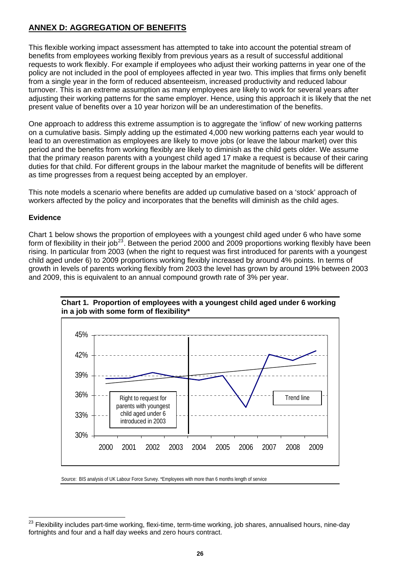## **ANNEX D: AGGREGATION OF BENEFITS**

This flexible working impact assessment has attempted to take into account the potential stream of benefits from employees working flexibly from previous years as a result of successful additional requests to work flexibly. For example if employees who adjust their working patterns in year one of the policy are not included in the pool of employees affected in year two. This implies that firms only benefit from a single year in the form of reduced absenteeism, increased productivity and reduced labour turnover. This is an extreme assumption as many employees are likely to work for several years after adjusting their working patterns for the same employer. Hence, using this approach it is likely that the net present value of benefits over a 10 year horizon will be an underestimation of the benefits.

One approach to address this extreme assumption is to aggregate the 'inflow' of new working patterns on a cumulative basis. Simply adding up the estimated 4,000 new working patterns each year would to lead to an overestimation as employees are likely to move jobs (or leave the labour market) over this period and the benefits from working flexibly are likely to diminish as the child gets older. We assume that the primary reason parents with a youngest child aged 17 make a request is because of their caring duties for that child. For different groups in the labour market the magnitude of benefits will be different as time progresses from a request being accepted by an employer.

This note models a scenario where benefits are added up cumulative based on a 'stock' approach of workers affected by the policy and incorporates that the benefits will diminish as the child ages.

## **Evidence**

Chart 1 below shows the proportion of employees with a youngest child aged under 6 who have some form of flexibility in their job<sup>[23](#page-26-0)</sup>. Between the period 2000 and 2009 proportions working flexibly have been rising. In particular from 2003 (when the right to request was first introduced for parents with a youngest child aged under 6) to 2009 proportions working flexibly increased by around 4% points. In terms of growth in levels of parents working flexibly from 2003 the level has grown by around 19% between 2003 and 2009, this is equivalent to an annual compound growth rate of 3% per year.





Source: BIS analysis of UK Labour Force Survey. \*Employees with more than 6 months length of service

<span id="page-26-0"></span>l 23 Flexibility includes part-time working, flexi-time, term-time working, job shares, annualised hours, nine-day fortnights and four and a half day weeks and zero hours contract.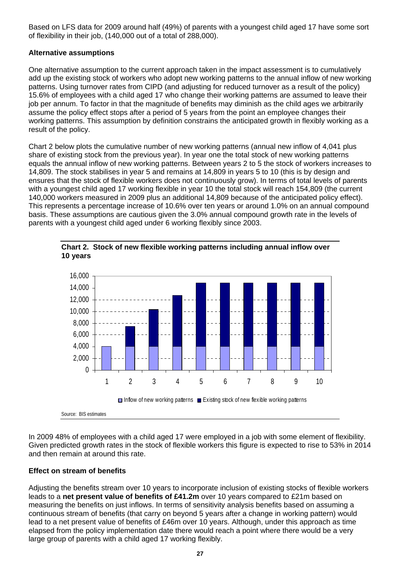Based on LFS data for 2009 around half (49%) of parents with a youngest child aged 17 have some sort of flexibility in their job, (140,000 out of a total of 288,000).

#### **Alternative assumptions**

One alternative assumption to the current approach taken in the impact assessment is to cumulatively add up the existing stock of workers who adopt new working patterns to the annual inflow of new working patterns. Using turnover rates from CIPD (and adjusting for reduced turnover as a result of the policy) 15.6% of employees with a child aged 17 who change their working patterns are assumed to leave their job per annum. To factor in that the magnitude of benefits may diminish as the child ages we arbitrarily assume the policy effect stops after a period of 5 years from the point an employee changes their working patterns. This assumption by definition constrains the anticipated growth in flexibly working as a result of the policy.

Chart 2 below plots the cumulative number of new working patterns (annual new inflow of 4,041 plus share of existing stock from the previous year). In year one the total stock of new working patterns equals the annual inflow of new working patterns. Between years 2 to 5 the stock of workers increases to 14,809. The stock stabilises in year 5 and remains at 14,809 in years 5 to 10 (this is by design and ensures that the stock of flexible workers does not continuously grow). In terms of total levels of parents with a youngest child aged 17 working flexible in year 10 the total stock will reach 154,809 (the current 140,000 workers measured in 2009 plus an additional 14,809 because of the anticipated policy effect). This represents a percentage increase of 10.6% over ten years or around 1.0% on an annual compound basis. These assumptions are cautious given the 3.0% annual compound growth rate in the levels of parents with a youngest child aged under 6 working flexibly since 2003.





In 2009 48% of employees with a child aged 17 were employed in a job with some element of flexibility. Given predicted growth rates in the stock of flexible workers this figure is expected to rise to 53% in 2014 and then remain at around this rate.

#### **Effect on stream of benefits**

Adjusting the benefits stream over 10 years to incorporate inclusion of existing stocks of flexible workers leads to a **net present value of benefits of £41.2m** over 10 years compared to £21m based on measuring the benefits on just inflows. In terms of sensitivity analysis benefits based on assuming a continuous stream of benefits (that carry on beyond 5 years after a change in working pattern) would lead to a net present value of benefits of £46m over 10 years. Although, under this approach as time elapsed from the policy implementation date there would reach a point where there would be a very large group of parents with a child aged 17 working flexibly.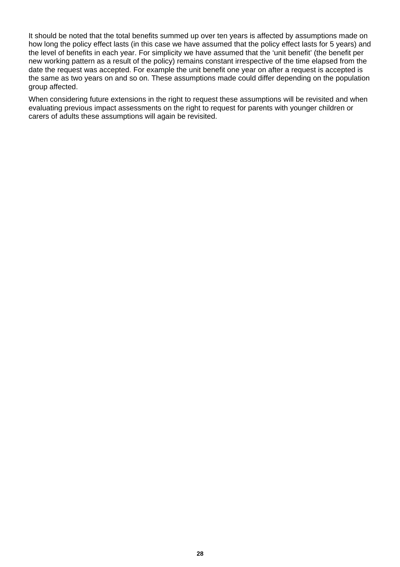It should be noted that the total benefits summed up over ten years is affected by assumptions made on how long the policy effect lasts (in this case we have assumed that the policy effect lasts for 5 years) and the level of benefits in each year. For simplicity we have assumed that the 'unit benefit' (the benefit per new working pattern as a result of the policy) remains constant irrespective of the time elapsed from the date the request was accepted. For example the unit benefit one year on after a request is accepted is the same as two years on and so on. These assumptions made could differ depending on the population group affected.

When considering future extensions in the right to request these assumptions will be revisited and when evaluating previous impact assessments on the right to request for parents with younger children or carers of adults these assumptions will again be revisited.